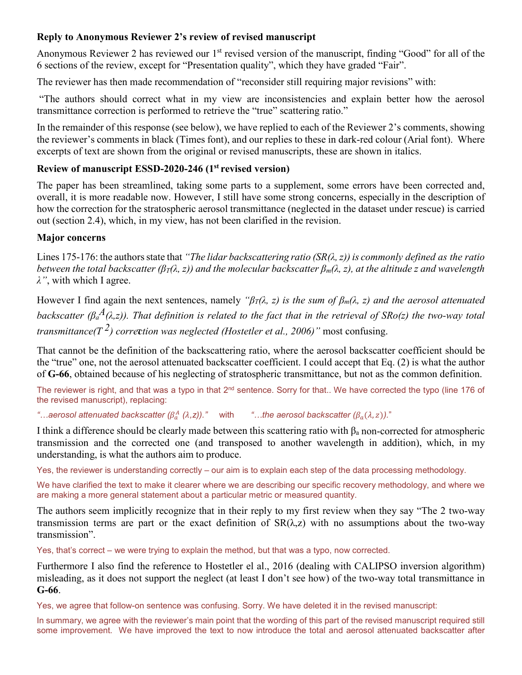## **Reply to Anonymous Reviewer 2's review of revised manuscript**

Anonymous Reviewer 2 has reviewed our  $1<sup>st</sup>$  revised version of the manuscript, finding "Good" for all of the 6 sections of the review, except for "Presentation quality", which they have graded "Fair".

The reviewer has then made recommendation of "reconsider still requiring major revisions" with:

"The authors should correct what in my view are inconsistencies and explain better how the aerosol transmittance correction is performed to retrieve the "true" scattering ratio."

In the remainder of this response (see below), we have replied to each of the Reviewer 2's comments, showing the reviewer's comments in black (Times font), and our replies to these in dark-red colour (Arial font). Where excerpts of text are shown from the original or revised manuscripts, these are shown in italics.

# **Review of manuscript ESSD-2020-246 (1st revised version)**

The paper has been streamlined, taking some parts to a supplement, some errors have been corrected and, overall, it is more readable now. However, I still have some strong concerns, especially in the description of how the correction for the stratospheric aerosol transmittance (neglected in the dataset under rescue) is carried out (section 2.4), which, in my view, has not been clarified in the revision.

## **Major concerns**

Lines 175-176: the authors state that *"The lidar backscattering ratio*  $(SR(\lambda, z))$  *is commonly defined as the ratio between the total backscatter (βT(λ, z)) and the molecular backscatter βm(λ, z), at the altitude z and wavelength λ"*, with which I agree.

T *transmittance(T 2) correction was neglected (Hostetler et al., 2006)"* most confusing. However I find again the next sentences, namely *"βT(λ, z) is the sum of βm(λ, z) and the aerosol attenuated backscatter (* $\beta_a^A(\lambda, z)$ *). That definition is related to the fact that in the retrieval of SRo(z) the two-way total* 

That cannot be the definition of the backscattering ratio, where the aerosol backscatter coefficient should be the "true" one, not the aerosol attenuated backscatter coefficient. I could accept that Eq. (2) is what the author of **G-66**, obtained because of his neglecting of stratospheric transmittance, but not as the common definition.

The reviewer is right, and that was a typo in that 2<sup>nd</sup> sentence. Sorry for that.. We have corrected the typo (line 176 of the revised manuscript), replacing:

 $\cdot$ *...aerosol attenuated backscatter (* $\beta_a^A$  *(* $\lambda$ *,z)).*" with  $\cdot$  "*…the aerosol backscatter (* $\beta_a(\lambda, z)$ *).*"

I think a difference should be clearly made between this scattering ratio with  $\beta_a$  non-corrected for atmospheric transmission and the corrected one (and transposed to another wavelength in addition), which, in my understanding, is what the authors aim to produce.

Yes, the reviewer is understanding correctly – our aim is to explain each step of the data processing methodology.

We have clarified the text to make it clearer where we are describing our specific recovery methodology, and where we are making a more general statement about a particular metric or measured quantity.

The authors seem implicitly recognize that in their reply to my first review when they say "The 2 two-way transmission terms are part or the exact definition of  $SR(\lambda, z)$  with no assumptions about the two-way transmission".

Yes, that's correct – we were trying to explain the method, but that was a typo, now corrected.

Furthermore I also find the reference to Hostetler el al., 2016 (dealing with CALIPSO inversion algorithm) misleading, as it does not support the neglect (at least I don't see how) of the two-way total transmittance in **G-66**.

Yes, we agree that follow-on sentence was confusing. Sorry. We have deleted it in the revised manuscript:

In summary, we agree with the reviewer's main point that the wording of this part of the revised manuscript required still some improvement. We have improved the text to now introduce the total and aerosol attenuated backscatter after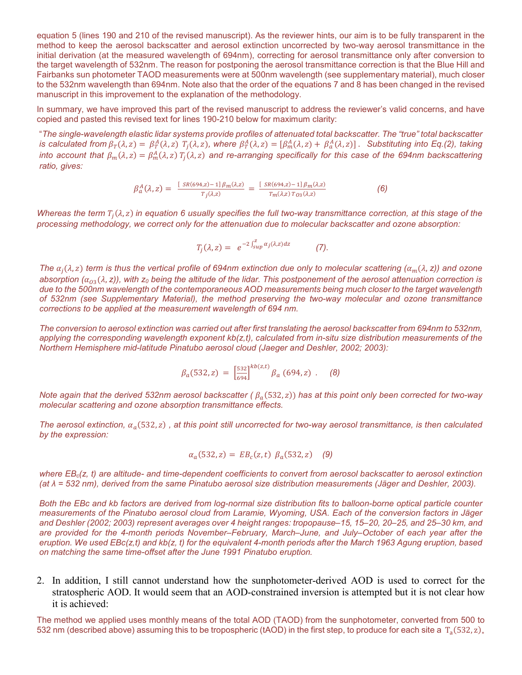equation 5 (lines 190 and 210 of the revised manuscript). As the reviewer hints, our aim is to be fully transparent in the method to keep the aerosol backscatter and aerosol extinction uncorrected by two-way aerosol transmittance in the initial derivation (at the measured wavelength of 694nm), correcting for aerosol transmittance only after conversion to the target wavelength of 532nm. The reason for postponing the aerosol transmittance correction is that the Blue Hill and Fairbanks sun photometer TAOD measurements were at 500nm wavelength (see supplementary material), much closer to the 532nm wavelength than 694nm. Note also that the order of the equations 7 and 8 has been changed in the revised manuscript in this improvement to the explanation of the methodology.

In summary, we have improved this part of the revised manuscript to address the reviewer's valid concerns, and have copied and pasted this revised text for lines 190-210 below for maximum clarity:

"*The single-wavelength elastic lidar systems provide profiles of attenuated total backscatter. The "true" total backscatter is calculated from*  $\beta_T(\lambda, z) = \beta_T^A(\lambda, z)$   $T_j(\lambda, z)$ , where  $\beta_T^A(\lambda, z) = [\beta_m^A(\lambda, z) + \beta_a^A(\lambda, z)]$ . Substituting into Eq.(2), taking into account that  $\beta_m(\lambda,z)=\beta_m^A(\lambda,z)$   $T_j(\lambda,z)$  and re-arranging specifically for this case of the 694nm backscattering *ratio, gives:*

$$
\beta_a^A(\lambda, z) = \frac{[SR(694,z) - 1] \beta_m(\lambda, z)}{T_j(\lambda, z)} = \frac{[SR(694,z) - 1] \beta_m(\lambda, z)}{T_m(\lambda, z) T_{03}(\lambda, z)}
$$
(6)

*Whereas the term*  $T_i(\lambda, z)$  *in equation 6 usually specifies the full two-way transmittance correction, at this stage of the processing methodology, we correct only for the attenuation due to molecular backscatter and ozone absorption:*

$$
T_j(\lambda, z) = e^{-2\int_{\text{sup}}^z \alpha_j(\lambda, z) dz}
$$
 (7).

*The*  $\alpha_i(\lambda, z)$  *term is thus the vertical profile of 694nm extinction due only to molecular scattering*  $(\alpha_m(\lambda, z))$  and ozone *absorption*  $(\alpha_{03}(\lambda, z))$ , with  $z_0$  being the altitude of the lidar. This postponement of the aerosol attenuation correction is *due to the 500nm wavelength of the contemporaneous AOD measurements being much closer to the target wavelength of 532nm (see Supplementary Material), the method preserving the two-way molecular and ozone transmittance corrections to be applied at the measurement wavelength of 694 nm.*

*The conversion to aerosol extinction was carried out after first translating the aerosol backscatter from 694nm to 532nm, applying the corresponding wavelength exponent kb(z,t), calculated from in-situ size distribution measurements of the Northern Hemisphere mid-latitude Pinatubo aerosol cloud (Jaeger and Deshler, 2002; 2003):*

$$
\beta_a(532, z) = \left[\frac{532}{694}\right]^{kb(z, t)} \beta_a(694, z) . \quad (8)
$$

*Note again that the derived 532nm aerosol backscatter (* $\beta_a$ *(532, z)) has at this point only been corrected for two-way molecular scattering and ozone absorption transmittance effects.*

*The aerosol extinction,*  $\alpha_a$  (532,  $z$ ), at this point still uncorrected for two-way aerosol transmittance, is then calculated *by the expression:*

$$
\alpha_a(532, z) = EB_c(z, t) \ \beta_a(532, z) \quad (9)
$$

*where EBc(z, t) are altitude- and time-dependent coefficients to convert from aerosol backscatter to aerosol extinction (at λ = 532 nm), derived from the same Pinatubo aerosol size distribution measurements (Jäger and Deshler, 2003).* 

*Both the EBc and kb factors are derived from log-normal size distribution fits to balloon-borne optical particle counter measurements of the Pinatubo aerosol cloud from Laramie, Wyoming, USA. Each of the conversion factors in Jäger and Deshler (2002; 2003) represent averages over 4 height ranges: tropopause–15, 15–20, 20–25, and 25–30 km, and are provided for the 4-month periods November–February, March–June, and July–October of each year after the eruption. We used EBc(z,t) and kb(z, t) for the equivalent 4-month periods after the March 1963 Agung eruption, based on matching the same time-offset after the June 1991 Pinatubo eruption.*

2. In addition, I still cannot understand how the sunphotometer-derived AOD is used to correct for the stratospheric AOD. It would seem that an AOD-constrained inversion is attempted but it is not clear how it is achieved:

The method we applied uses monthly means of the total AOD (TAOD) from the sunphotometer, converted from 500 to 532 nm (described above) assuming this to be tropospheric (tAOD) in the first step, to produce for each site a  $T_a(532, z)$ .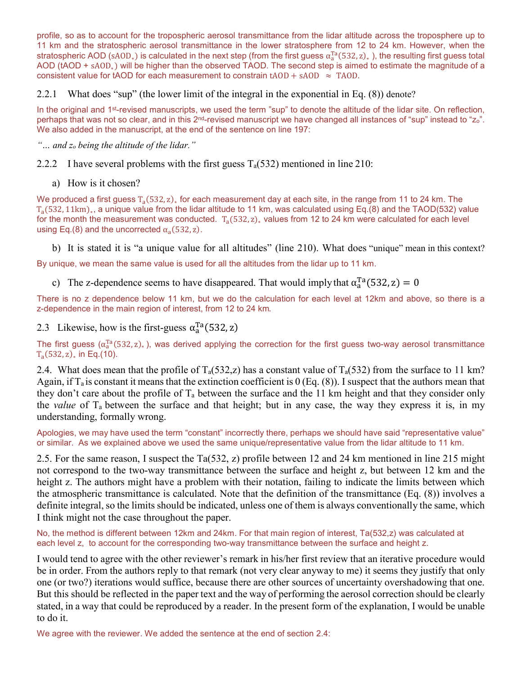profile, so as to account for the tropospheric aerosol transmittance from the lidar altitude across the troposphere up to 11 km and the stratospheric aerosol transmittance in the lower stratosphere from 12 to 24 km. However, when the stratospheric AOD (sA0D<sub>∗</sub>) is calculated in the next step (from the first guess  $\alpha_a^{1a}(532, z)_*$  ), the resulting first guess total AOD (tAOD + sAOD∗) will be higher than the observed TAOD. The second step is aimed to estimate the magnitude of a consistent value for tAOD for each measurement to constrain tAOD + sAOD  $\approx$  TAOD.

2.2.1 What does "sup" (the lower limit of the integral in the exponential in Eq. (8)) denote?

In the original and 1<sup>st</sup>-revised manuscripts, we used the term "sup" to denote the altitude of the lidar site. On reflection, perhaps that was not so clear, and in this  $2^{nd}$ -revised manuscript we have changed all instances of "sup" instead to "zo". We also added in the manuscript, at the end of the sentence on line 197:

*"… and zo being the altitude of the lidar."*

2.2.2 I have several problems with the first guess  $T_a(532)$  mentioned in line 210:

a) How is it chosen?

We produced a first guess  $T_a(532, z)_*$  for each measurement day at each site, in the range from 11 to 24 km. The T<sub>a</sub>(532, 11km)<sub>∗</sub>, a unique value from the lidar altitude to 11 km, was calculated using Eq.(8) and the TAOD(532) value for the month the measurement was conducted.  $T_a(532, z)_{*}$  values from 12 to 24 km were calculated for each level using Eq.(8) and the uncorrected  $\alpha_a(532, z)$ .

b) It is stated it is "a unique value for all altitudes" (line 210). What does "unique" mean in this context?

By unique, we mean the same value is used for all the altitudes from the lidar up to 11 km.

c) The z-dependence seems to have disappeared. That would imply that  $\alpha_a^{\text{Ta}}(532, z) = 0$ 

There is no z dependence below 11 km, but we do the calculation for each level at 12km and above, so there is a z-dependence in the main region of interest, from 12 to 24 km.

2.3 Likewise, how is the first-guess  $\alpha_a^{\text{Ta}}(532, z)$ 

The first guess ( $\alpha_a^{Ta}(532, z)$ ,), was derived applying the correction for the first guess two-way aerosol transmittance  $T_a(532, z)_*$  in Eq.(10).

2.4. What does mean that the profile of  $T_a(532, z)$  has a constant value of  $T_a(532)$  from the surface to 11 km? Again, if  $T_a$  is constant it means that the extinction coefficient is  $0$  (Eq. (8)). I suspect that the authors mean that they don't care about the profile of  $T_a$  between the surface and the 11 km height and that they consider only the *value* of Ta between the surface and that height; but in any case, the way they express it is, in my understanding, formally wrong.

Apologies, we may have used the term "constant" incorrectly there, perhaps we should have said "representative value" or similar. As we explained above we used the same unique/representative value from the lidar altitude to 11 km.

2.5. For the same reason, I suspect the Ta(532, z) profile between 12 and 24 km mentioned in line 215 might not correspond to the two-way transmittance between the surface and height z, but between 12 km and the height z. The authors might have a problem with their notation, failing to indicate the limits between which the atmospheric transmittance is calculated. Note that the definition of the transmittance (Eq. (8)) involves a definite integral, so the limits should be indicated, unless one of them is always conventionally the same, which I think might not the case throughout the paper.

No, the method is different between 12km and 24km. For that main region of interest, Ta(532,z) was calculated at each level z, to account for the corresponding two-way transmittance between the surface and height z.

I would tend to agree with the other reviewer's remark in his/her first review that an iterative procedure would be in order. From the authors reply to that remark (not very clear anyway to me) it seems they justify that only one (or two?) iterations would suffice, because there are other sources of uncertainty overshadowing that one. But this should be reflected in the paper text and the way of performing the aerosol correction should be clearly stated, in a way that could be reproduced by a reader. In the present form of the explanation, I would be unable to do it.

We agree with the reviewer. We added the sentence at the end of section 2.4: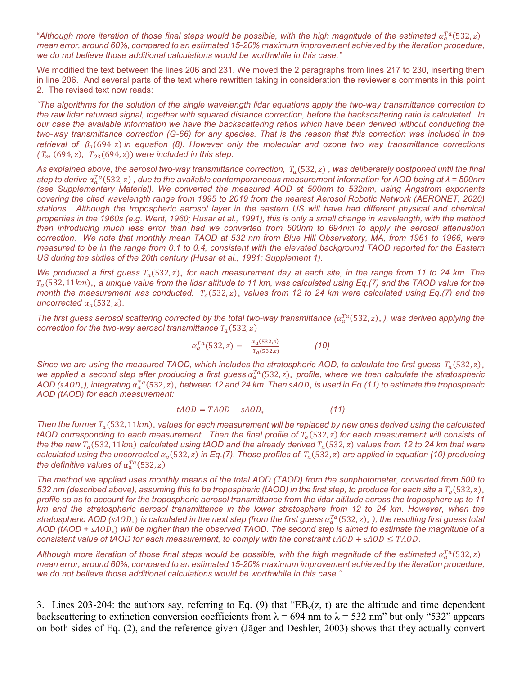"Although more iteration of those final steps would be possible, with the high magnitude of the estimated  $\alpha_a^{Ta}$ (532,z) *mean error, around 60%, compared to an estimated 15-20% maximum improvement achieved by the iteration procedure, we do not believe those additional calculations would be worthwhile in this case."*

We modified the text between the lines 206 and 231. We moved the 2 paragraphs from lines 217 to 230, inserting them in line 206. And several parts of the text where rewritten taking in consideration the reviewer's comments in this point 2. The revised text now reads:

*"The algorithms for the solution of the single wavelength lidar equations apply the two-way transmittance correction to the raw lidar returned signal, together with squared distance correction, before the backscattering ratio is calculated. In our case the available information we have the backscattering ratios which have been derived without conducting the two-way transmittance correction (G-66) for any species. That is the reason that this correction was included in the retrieval of*  $\beta_a(694, z)$  *in equation (8). However only the molecular and ozone two way transmittance corrections*  $(T_m (694, z), T_{03}(694, z))$  *were included in this step.* 

As explained above, the aerosol two-way transmittance correction,  $T_a(532, z)$ , was deliberately postponed until the final *step to derive*  (532, ) *, due to the available contemporaneous measurement information for AOD being at λ = 500nm (see Supplementary Material). We converted the measured AOD at 500nm to 532nm, using Ångstrom exponents covering the cited wavelength range from 1995 to 2019 from the nearest Aerosol Robotic Network (AERONET, 2020) stations. Although the tropospheric aerosol layer in the eastern US will have had different physical and chemical properties in the 1960s (e.g. Went, 1960; Husar et al., 1991), this is only a small change in wavelength, with the method then introducing much less error than had we converted from 500nm to 694nm to apply the aerosol attenuation correction. We note that monthly mean TAOD at 532 nm from Blue Hill Observatory, MA, from 1961 to 1966, were measured to be in the range from 0.1 to 0.4, consistent with the elevated background TAOD reported for the Eastern US during the sixties of the 20th century (Husar et al., 1981; Supplement 1).*

*We produced a first guess*  $T_a(532, z)$ <sub>∗</sub> *for each measurement day at each site, in the range from 11 to 24 km. The*  $T_a$ (532, 11km), a unique value from the lidar altitude to 11 km, was calculated using Eq.(7) and the TAOD value for the *month the measurement was conducted.*  $T_a$ (532, z)<sub>∗</sub> *values from 12 to 24 km were calculated using Eq.(7) and the uncorrected*  $\alpha_a$  (532, *z*).

*The first guess aerosol scattering corrected by the total two-way transmittance (* $\alpha_a^{ra}$ *(532,z)<sub>∗</sub>), was derived applying the correction for the two-way aerosol transmittance*  $T_a(532, z)$ 

$$
\alpha_a^{Ta}(532, z) = \frac{\alpha_a(532, z)}{T_a(532, z)}
$$
 (10)

*Since* we are using the measured TAOD, which includes the stratospheric AOD, to calculate the first guess  $T_a(532, z)_*$ *we applied a second step after producing a first guess*  $a_a^{Ta}(532, z)$ , *profile, where we then calculate the stratospheric AOD (*∗*), integrating*  (532, )<sup>∗</sup> *between 12 and 24 km Then* ∗ *is used in Eq.(11) to estimate the tropospheric AOD (tAOD) for each measurement:* 

$$
tAOD = TAOD - sAOD, \qquad (11)
$$

*Then the former T<sub>a</sub>(532, 11km), values for each measurement will be replaced by new ones derived using the calculated*  $tAOD$  corresponding to each measurement. Then the final profile of  $T_a(532, z)$  for each measurement will consists of *the the new*  $T_a$ (532, 11km) calculated using tAOD and the already derived  $T_a$ (532, z) values from 12 to 24 km that were *calculated using the uncorrected*  $\alpha_a(532, z)$  *in Eq.(7). Those profiles of*  $T_a(532, z)$  *are applied in equation (10) producing* the definitive values of  $\alpha_a^{Ta}$ (532, z).

*The method we applied uses monthly means of the total AOD (TAOD) from the sunphotometer, converted from 500 to 532 nm (described above), assuming this to be tropospheric (tAOD) in the first step, to produce for each site a*  $T_a(532, z)_*$ *profile so as to account for the tropospheric aerosol transmittance from the lidar altitude across the troposphere up to 11 km and the stratospheric aerosol transmittance in the lower stratosphere from 12 to 24 km. However, when the stratospheric AOD (sA0D<sub>\*</sub>) is calculated in the next step (from the first guess*  $a_a^{Ta}$ *(532,z)<sub>\*</sub>), the resulting first guess total AOD (tAOD +* ∗) *will be higher than the observed TAOD. The second step is aimed to estimate the magnitude of a consistent value of tAOD for each measurement, to comply with the constraint*  $tAOD + sAOD \leq TAOD$ .

Although more iteration of those final steps would be possible, with the high magnitude of the estimated  $\alpha_a^{Ta}$ (532, z) *mean error, around 60%, compared to an estimated 15-20% maximum improvement achieved by the iteration procedure, we do not believe those additional calculations would be worthwhile in this case."*

3. Lines 203-204: the authors say, referring to Eq. (9) that " $EB<sub>c</sub>(z, t)$  are the altitude and time dependent backscattering to extinction conversion coefficients from  $\lambda = 694$  nm to  $\lambda = 532$  nm" but only "532" appears on both sides of Eq. (2), and the reference given (Jäger and Deshler, 2003) shows that they actually convert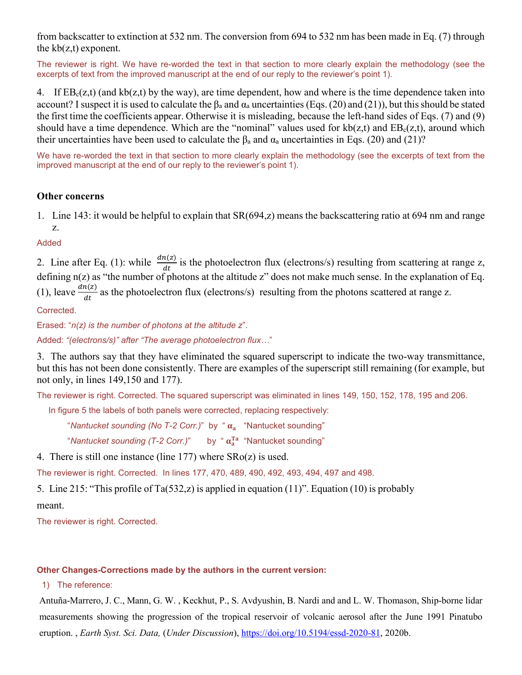from backscatter to extinction at 532 nm. The conversion from 694 to 532 nm has been made in Eq. (7) through the  $kb(z,t)$  exponent.

The reviewer is right. We have re-worded the text in that section to more clearly explain the methodology (see the excerpts of text from the improved manuscript at the end of our reply to the reviewer's point 1).

4. If  $EB<sub>c</sub>(z,t)$  (and kb(z,t) by the way), are time dependent, how and where is the time dependence taken into account? I suspect it is used to calculate the  $\beta_a$  and  $\alpha_a$  uncertainties (Eqs. (20) and (21)), but this should be stated the first time the coefficients appear. Otherwise it is misleading, because the left-hand sides of Eqs. (7) and (9) should have a time dependence. Which are the "nominal" values used for  $kb(z,t)$  and  $EB<sub>c</sub>(z,t)$ , around which their uncertainties have been used to calculate the  $\beta_a$  and  $\alpha_a$  uncertainties in Eqs. (20) and (21)?

We have re-worded the text in that section to more clearly explain the methodology (see the excerpts of text from the improved manuscript at the end of our reply to the reviewer's point 1).

### **Other concerns**

1. Line 143: it would be helpful to explain that SR(694,z) means the backscattering ratio at 694 nm and range z.

Added

2. Line after Eq. (1): while  $\frac{dn(z)}{dt}$  is the photoelectron flux (electrons/s) resulting from scattering at range z, defining n(z) as "the number of photons at the altitude z" does not make much sense. In the explanation of Eq. (1), leave  $\frac{dn(z)}{dt}$  as the photoelectron flux (electrons/s) resulting from the photons scattered at range z.

Corrected.

Erased: "*n(z) is the number of photons at the altitude z*".

Added: *"(electrons/s)" after "The average photoelectron flux…*"

3. The authors say that they have eliminated the squared superscript to indicate the two-way transmittance, but this has not been done consistently. There are examples of the superscript still remaining (for example, but not only, in lines 149,150 and 177).

The reviewer is right. Corrected. The squared superscript was eliminated in lines 149, 150, 152, 178, 195 and 206.

In figure 5 the labels of both panels were corrected, replacing respectively:

"*Nantucket sounding (No T-2 Corr.)*" by " $\alpha_a$  "Nantucket sounding"

"*Nantucket sounding (T-2 Corr.)*" by "  $\alpha_a^{\text{Ta}}$  "Nantucket sounding"

4. There is still one instance (line 177) where SRo(z) is used.

The reviewer is right. Corrected. In lines 177, 470, 489, 490, 492, 493, 494, 497 and 498.

5. Line 215: "This profile of Ta(532,z) is applied in equation (11)". Equation (10) is probably

meant.

The reviewer is right. Corrected.

#### **Other Changes-Corrections made by the authors in the current version:**

1) The reference:

Antuña-Marrero, J. C., Mann, G. W. , Keckhut, P., S. Avdyushin, B. Nardi and and L. W. Thomason, Ship-borne lidar measurements showing the progression of the tropical reservoir of volcanic aerosol after the June 1991 Pinatubo eruption. , *Earth Syst. Sci. Data,* (*Under Discussion*), [https://doi.org/10.5194/essd-2020-81,](https://doi.org/10.5194/essd-2020-81) 2020b.